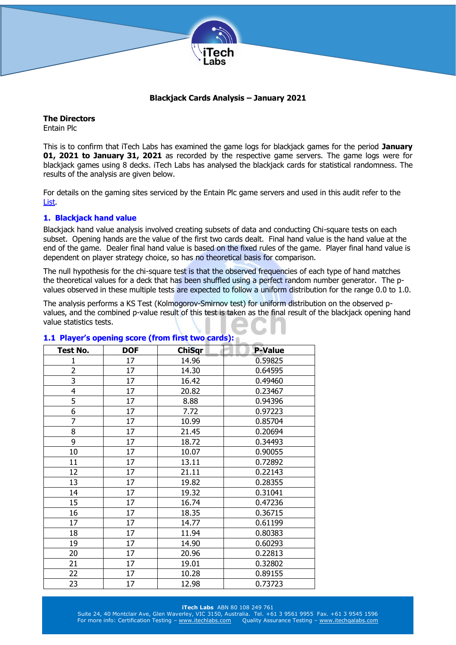

## **Blackjack Cards Analysis – January 2021**

**The Directors** Entain Plc

This is to confirm that iTech Labs has examined the game logs for blackjack games for the period **January 01, 2021 to January 31, 2021** as recorded by the respective game servers. The game logs were for blackjack games using 8 decks. iTech Labs has analysed the blackjack cards for statistical randomness. The results of the analysis are given below.

For details on the gaming sites serviced by the Entain Plc game servers and used in this audit refer to the [List.](http://www.itechlabs.com/certificates/GVC/Casino%20Gaming%20Sites.pdf)

# **1. Blackjack hand value**

Blackjack hand value analysis involved creating subsets of data and conducting Chi-square tests on each subset. Opening hands are the value of the first two cards dealt. Final hand value is the hand value at the end of the game. Dealer final hand value is based on the fixed rules of the game. Player final hand value is dependent on player strategy choice, so has no theoretical basis for comparison.

The null hypothesis for the chi-square test is that the observed frequencies of each type of hand matches the theoretical values for a deck that has been shuffled using a perfect random number generator. The pvalues observed in these multiple tests are expected to follow a uniform distribution for the range 0.0 to 1.0.

The analysis performs a KS Test (Kolmogorov-Smirnov test) for uniform distribution on the observed pvalues, and the combined p-value result of this test is taken as the final result of the blackjack opening hand value statistics tests.

| Test No.                | <b>DOF</b> | <b>ChiSqr</b> | <b>P-Value</b> |
|-------------------------|------------|---------------|----------------|
| 1                       | 17         | 14.96         | 0.59825        |
| $\overline{\mathbf{c}}$ | 17         | 14.30         | 0.64595        |
| $\overline{3}$          | 17         | 16.42         | 0.49460        |
| 4                       | 17         | 20.82         | 0.23467        |
| 5                       | 17         | 8.88          | 0.94396        |
| 6                       | 17         | 7.72          | 0.97223        |
| $\overline{7}$          | 17         | 10.99         | 0.85704        |
| 8                       | 17         | 21.45         | 0.20694        |
| 9                       | 17         | 18.72         | 0.34493        |
| 10                      | 17         | 10.07         | 0.90055        |
| 11                      | 17         | 13.11         | 0.72892        |
| 12                      | 17         | 21.11         | 0.22143        |
| 13                      | 17         | 19.82         | 0.28355        |
| 14                      | 17         | 19.32         | 0.31041        |
| 15                      | 17         | 16.74         | 0.47236        |
| 16                      | 17         | 18.35         | 0.36715        |
| 17                      | 17         | 14.77         | 0.61199        |
| 18                      | 17         | 11.94         | 0.80383        |
| 19                      | 17         | 14.90         | 0.60293        |
| 20                      | 17         | 20.96         | 0.22813        |
| 21                      | 17         | 19.01         | 0.32802        |
| 22                      | 17         | 10.28         | 0.89155        |
| 23                      | 17         | 12.98         | 0.73723        |

#### **1.1 Player's opening score (from first two cards):**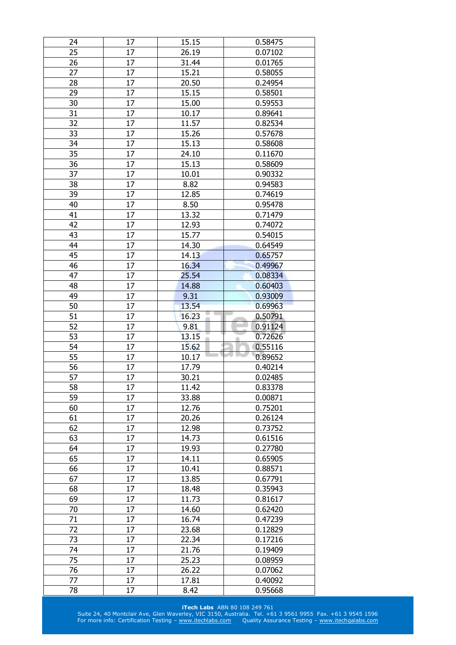| 24       | 17       | 15.15         | 0.58475            |
|----------|----------|---------------|--------------------|
| 25       | 17       | 26.19         | 0.07102            |
| 26       | 17       | 31.44         | 0.01765            |
| 27       | 17       | 15.21         | 0.58055            |
| 28       | 17       | 20.50         | 0.24954            |
| 29       | 17       | 15.15         | 0.58501            |
| 30       | 17       | 15.00         | 0.59553            |
| 31       | 17       | 10.17         | 0.89641            |
| 32       | 17       | 11.57         | 0.82534            |
| 33       | 17       | 15.26         | 0.57678            |
| 34       | 17       | 15.13         | 0.58608            |
| 35       | 17       | 24.10         | 0.11670            |
| 36       | 17       | 15.13         | 0.58609            |
| 37       | 17       | 10.01         | 0.90332            |
| 38       | $17\,$   | 8.82          | 0.94583            |
| 39       | 17       | 12.85         | 0.74619            |
| 40       | 17       | 8.50          | 0.95478            |
| 41       | 17       | 13.32         | 0.71479            |
| 42       | 17       | 12.93         | 0.74072            |
| 43       | 17       | 15.77         | 0.54015            |
| 44       | 17       | 14.30         | 0.64549            |
| 45       | 17       | 14.13         | 0.65757            |
| 46       | 17       | 16.34         |                    |
| 47       |          |               | 0.49967            |
| 48       | 17<br>17 | 25.54         | 0.08334            |
|          |          | 14.88         | 0.60403            |
| 49       | 17       | 9.31          | 0.93009            |
| 50       | 17       | 13.54         | 0.69963            |
|          |          |               |                    |
| 51       | 17       | 16.23         | 0.50791            |
| 52       | 17       | 9.81          | 0.91124            |
| 53       | 17       | 13.15         | 0.72626            |
| 54       | 17       | 15.62         | 0.55116            |
| 55       | 17       | 10.17         | 0.89652            |
| 56       | 17       | 17.79         | 0.40214            |
| 57       | 17       | 30.21         | 0.02485            |
| 58       | 17       | 11.42         | 0.83378            |
| 59       | 17       | 33.88         | 0.00871            |
| 60       | 17       | 12.76         | 0.75201            |
| 61       | 17       | 20.26         | 0.26124            |
| 62       | 17       | 12.98         | 0.73752            |
| 63       | 17       | 14.73         | 0.61516            |
| 64       | 17       | 19.93         | 0.27780            |
| 65       | 17       | 14.11         | 0.65905            |
| 66       | 17       | 10.41         | 0.88571            |
| 67       | 17       | 13.85         | 0.67791            |
| 68       | 17       | 18.48         | 0.35943            |
| 69       | 17       | 11.73         | 0.81617            |
| 70       | 17       | 14.60         | 0.62420            |
| 71       | 17       | 16.74         | 0.47239            |
| 72       | 17       | 23.68         | 0.12829            |
| 73       | 17       | 22.34         | 0.17216            |
| 74       | 17       | 21.76         | 0.19409            |
| 75       | 17       | 25.23         | 0.08959            |
| 76       | 17       | 26.22         | 0.07062            |
| 77<br>78 | 17<br>17 | 17.81<br>8.42 | 0.40092<br>0.95668 |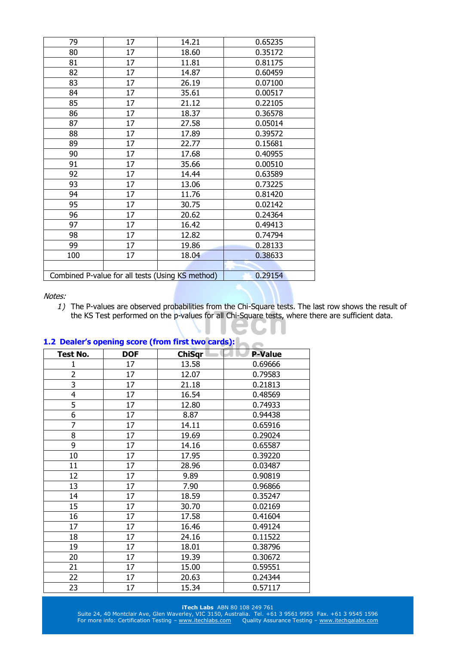| 79  | 17 | 14.21                                            | 0.65235 |
|-----|----|--------------------------------------------------|---------|
| 80  | 17 | 18.60                                            | 0.35172 |
| 81  | 17 | 11.81                                            | 0.81175 |
| 82  | 17 | 14.87                                            | 0.60459 |
| 83  | 17 | 26.19                                            | 0.07100 |
| 84  | 17 | 35.61                                            | 0.00517 |
| 85  | 17 | 21.12                                            | 0.22105 |
| 86  | 17 | 18.37                                            | 0.36578 |
| 87  | 17 | 27.58                                            | 0.05014 |
| 88  | 17 | 17.89                                            | 0.39572 |
| 89  | 17 | 22.77                                            | 0.15681 |
| 90  | 17 | 17.68                                            | 0.40955 |
| 91  | 17 | 35.66                                            | 0.00510 |
| 92  | 17 | 14.44                                            | 0.63589 |
| 93  | 17 | 13.06                                            | 0.73225 |
| 94  | 17 | 11.76                                            | 0.81420 |
| 95  | 17 | 30.75                                            | 0.02142 |
| 96  | 17 | 20.62                                            | 0.24364 |
| 97  | 17 | 16.42                                            | 0.49413 |
| 98  | 17 | 12.82                                            | 0.74794 |
| 99  | 17 | 19.86                                            | 0.28133 |
| 100 | 17 | 18.04                                            | 0.38633 |
|     |    |                                                  |         |
|     |    | Combined P-value for all tests (Using KS method) | 0.29154 |

*1)* The P-values are observed probabilities from the Chi-Square tests. The last row shows the result of the KS Test performed on the p-values for all Chi-Square tests, where there are sufficient data.

| Test No.                | <b>DOF</b> | <b>ChiSqr</b> | <b>P-Value</b> |
|-------------------------|------------|---------------|----------------|
| 1                       | 17         | 13.58         | 0.69666        |
| $\overline{\mathbf{c}}$ | 17         | 12.07         | 0.79583        |
| $\overline{\mathbf{3}}$ | 17         | 21.18         | 0.21813        |
| 4                       | 17         | 16.54         | 0.48569        |
| 5                       | 17         | 12.80         | 0.74933        |
| 6                       | 17         | 8.87          | 0.94438        |
| 7                       | 17         | 14.11         | 0.65916        |
| 8                       | 17         | 19.69         | 0.29024        |
| 9                       | 17         | 14.16         | 0.65587        |
| 10                      | 17         | 17.95         | 0.39220        |
| 11                      | 17         | 28.96         | 0.03487        |
| 12                      | 17         | 9.89          | 0.90819        |
| 13                      | 17         | 7.90          | 0.96866        |
| 14                      | 17         | 18.59         | 0.35247        |
| 15                      | 17         | 30.70         | 0.02169        |
| 16                      | 17         | 17.58         | 0.41604        |
| 17                      | 17         | 16.46         | 0.49124        |
| 18                      | 17         | 24.16         | 0.11522        |
| 19                      | 17         | 18.01         | 0.38796        |
| 20                      | 17         | 19.39         | 0.30672        |
| 21                      | 17         | 15.00         | 0.59551        |
| 22                      | 17         | 20.63         | 0.24344        |
| 23                      | 17         | 15.34         | 0.57117        |

## **1.2 Dealer's opening score (from first two cards):**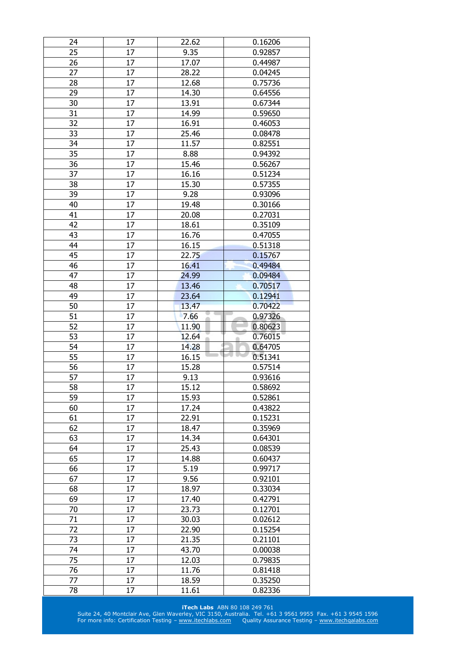| 25<br>17<br>9.35<br>0.92857<br>17<br>26<br>17.07<br>0.44987<br>27<br>28.22<br>17<br>0.04245<br>17<br>28<br>12.68<br>0.75736<br>29<br>17<br>14.30<br>0.64556<br>30<br>17<br>13.91<br>0.67344<br>31<br>14.99<br>17<br>0.59650<br>32<br>16.91<br>17<br>0.46053<br>17<br>33<br>25.46<br>0.08478<br>34<br>17<br>11.57<br>0.82551<br>35<br>8.88<br>17<br>0.94392<br>36<br>17<br>15.46<br>0.56267<br>37<br>16.16<br>0.51234<br>17<br>17<br>15.30<br>0.57355<br>38<br>39<br>17<br>9.28<br>0.93096<br>17<br>40<br>19.48<br>0.30166<br>41<br>17<br>20.08<br>0.27031<br>17<br>18.61<br>42<br>0.35109<br>16.76<br>43<br>17<br>0.47055<br>44<br>17<br>16.15<br>0.51318<br>17<br>22.75<br>45<br>0.15767<br>46<br>17<br>16.41<br>0.49484<br>17<br>47<br>24.99<br>0.09484<br>13.46<br>0.70517<br>48<br>17<br>0.12941<br>49<br>17<br>23.64<br>50<br>0.70422<br>17<br>13.47<br>51<br>7.66<br>0.97326<br>17<br>52<br>17<br>11.90<br>0.80623<br>12.64<br>0.76015<br>53<br>17<br>54<br>17<br>14.28<br>0.64705<br>0.51341<br>55<br>16.15<br>17<br>56<br>15.28<br>0.57514<br>17<br>0.93616<br>57<br>17<br>9.13<br>58<br>17<br>15.12<br>0.58692<br>59<br>17<br>15.93<br>0.52861<br>17.24<br>17<br>60<br>0.43822<br>61<br>17<br>22.91<br>0.15231<br>62<br>17<br>18.47<br>0.35969<br>63<br>17<br>14.34<br>0.64301<br>64<br>17<br>25.43<br>0.08539<br>65<br>14.88<br>17<br>0.60437<br>66<br>17<br>5.19<br>0.99717<br>9.56<br>67<br>17<br>0.92101<br>17<br>68<br>18.97<br>0.33034<br>17<br>69<br>17.40<br>0.42791<br>23.73<br>70<br>17<br>0.12701<br>71<br>17<br>30.03<br>0.02612<br>72<br>17<br>22.90<br>0.15254<br>73<br>17<br>21.35<br>0.21101<br>74<br>17<br>43.70<br>0.00038<br>75<br>17<br>12.03<br>0.79835<br>76<br>17<br>11.76<br>0.81418<br>77<br>17<br>18.59<br>0.35250<br>17<br>78<br>11.61<br>0.82336 | 24 | 17 | 22.62 | 0.16206 |
|---------------------------------------------------------------------------------------------------------------------------------------------------------------------------------------------------------------------------------------------------------------------------------------------------------------------------------------------------------------------------------------------------------------------------------------------------------------------------------------------------------------------------------------------------------------------------------------------------------------------------------------------------------------------------------------------------------------------------------------------------------------------------------------------------------------------------------------------------------------------------------------------------------------------------------------------------------------------------------------------------------------------------------------------------------------------------------------------------------------------------------------------------------------------------------------------------------------------------------------------------------------------------------------------------------------------------------------------------------------------------------------------------------------------------------------------------------------------------------------------------------------------------------------------------------------------------------------------------------------------------------------------------------------------------------------------------------------------------------------------------------------------------------------|----|----|-------|---------|
|                                                                                                                                                                                                                                                                                                                                                                                                                                                                                                                                                                                                                                                                                                                                                                                                                                                                                                                                                                                                                                                                                                                                                                                                                                                                                                                                                                                                                                                                                                                                                                                                                                                                                                                                                                                       |    |    |       |         |
|                                                                                                                                                                                                                                                                                                                                                                                                                                                                                                                                                                                                                                                                                                                                                                                                                                                                                                                                                                                                                                                                                                                                                                                                                                                                                                                                                                                                                                                                                                                                                                                                                                                                                                                                                                                       |    |    |       |         |
|                                                                                                                                                                                                                                                                                                                                                                                                                                                                                                                                                                                                                                                                                                                                                                                                                                                                                                                                                                                                                                                                                                                                                                                                                                                                                                                                                                                                                                                                                                                                                                                                                                                                                                                                                                                       |    |    |       |         |
|                                                                                                                                                                                                                                                                                                                                                                                                                                                                                                                                                                                                                                                                                                                                                                                                                                                                                                                                                                                                                                                                                                                                                                                                                                                                                                                                                                                                                                                                                                                                                                                                                                                                                                                                                                                       |    |    |       |         |
|                                                                                                                                                                                                                                                                                                                                                                                                                                                                                                                                                                                                                                                                                                                                                                                                                                                                                                                                                                                                                                                                                                                                                                                                                                                                                                                                                                                                                                                                                                                                                                                                                                                                                                                                                                                       |    |    |       |         |
|                                                                                                                                                                                                                                                                                                                                                                                                                                                                                                                                                                                                                                                                                                                                                                                                                                                                                                                                                                                                                                                                                                                                                                                                                                                                                                                                                                                                                                                                                                                                                                                                                                                                                                                                                                                       |    |    |       |         |
|                                                                                                                                                                                                                                                                                                                                                                                                                                                                                                                                                                                                                                                                                                                                                                                                                                                                                                                                                                                                                                                                                                                                                                                                                                                                                                                                                                                                                                                                                                                                                                                                                                                                                                                                                                                       |    |    |       |         |
|                                                                                                                                                                                                                                                                                                                                                                                                                                                                                                                                                                                                                                                                                                                                                                                                                                                                                                                                                                                                                                                                                                                                                                                                                                                                                                                                                                                                                                                                                                                                                                                                                                                                                                                                                                                       |    |    |       |         |
|                                                                                                                                                                                                                                                                                                                                                                                                                                                                                                                                                                                                                                                                                                                                                                                                                                                                                                                                                                                                                                                                                                                                                                                                                                                                                                                                                                                                                                                                                                                                                                                                                                                                                                                                                                                       |    |    |       |         |
|                                                                                                                                                                                                                                                                                                                                                                                                                                                                                                                                                                                                                                                                                                                                                                                                                                                                                                                                                                                                                                                                                                                                                                                                                                                                                                                                                                                                                                                                                                                                                                                                                                                                                                                                                                                       |    |    |       |         |
|                                                                                                                                                                                                                                                                                                                                                                                                                                                                                                                                                                                                                                                                                                                                                                                                                                                                                                                                                                                                                                                                                                                                                                                                                                                                                                                                                                                                                                                                                                                                                                                                                                                                                                                                                                                       |    |    |       |         |
|                                                                                                                                                                                                                                                                                                                                                                                                                                                                                                                                                                                                                                                                                                                                                                                                                                                                                                                                                                                                                                                                                                                                                                                                                                                                                                                                                                                                                                                                                                                                                                                                                                                                                                                                                                                       |    |    |       |         |
|                                                                                                                                                                                                                                                                                                                                                                                                                                                                                                                                                                                                                                                                                                                                                                                                                                                                                                                                                                                                                                                                                                                                                                                                                                                                                                                                                                                                                                                                                                                                                                                                                                                                                                                                                                                       |    |    |       |         |
|                                                                                                                                                                                                                                                                                                                                                                                                                                                                                                                                                                                                                                                                                                                                                                                                                                                                                                                                                                                                                                                                                                                                                                                                                                                                                                                                                                                                                                                                                                                                                                                                                                                                                                                                                                                       |    |    |       |         |
|                                                                                                                                                                                                                                                                                                                                                                                                                                                                                                                                                                                                                                                                                                                                                                                                                                                                                                                                                                                                                                                                                                                                                                                                                                                                                                                                                                                                                                                                                                                                                                                                                                                                                                                                                                                       |    |    |       |         |
|                                                                                                                                                                                                                                                                                                                                                                                                                                                                                                                                                                                                                                                                                                                                                                                                                                                                                                                                                                                                                                                                                                                                                                                                                                                                                                                                                                                                                                                                                                                                                                                                                                                                                                                                                                                       |    |    |       |         |
|                                                                                                                                                                                                                                                                                                                                                                                                                                                                                                                                                                                                                                                                                                                                                                                                                                                                                                                                                                                                                                                                                                                                                                                                                                                                                                                                                                                                                                                                                                                                                                                                                                                                                                                                                                                       |    |    |       |         |
|                                                                                                                                                                                                                                                                                                                                                                                                                                                                                                                                                                                                                                                                                                                                                                                                                                                                                                                                                                                                                                                                                                                                                                                                                                                                                                                                                                                                                                                                                                                                                                                                                                                                                                                                                                                       |    |    |       |         |
|                                                                                                                                                                                                                                                                                                                                                                                                                                                                                                                                                                                                                                                                                                                                                                                                                                                                                                                                                                                                                                                                                                                                                                                                                                                                                                                                                                                                                                                                                                                                                                                                                                                                                                                                                                                       |    |    |       |         |
|                                                                                                                                                                                                                                                                                                                                                                                                                                                                                                                                                                                                                                                                                                                                                                                                                                                                                                                                                                                                                                                                                                                                                                                                                                                                                                                                                                                                                                                                                                                                                                                                                                                                                                                                                                                       |    |    |       |         |
|                                                                                                                                                                                                                                                                                                                                                                                                                                                                                                                                                                                                                                                                                                                                                                                                                                                                                                                                                                                                                                                                                                                                                                                                                                                                                                                                                                                                                                                                                                                                                                                                                                                                                                                                                                                       |    |    |       |         |
|                                                                                                                                                                                                                                                                                                                                                                                                                                                                                                                                                                                                                                                                                                                                                                                                                                                                                                                                                                                                                                                                                                                                                                                                                                                                                                                                                                                                                                                                                                                                                                                                                                                                                                                                                                                       |    |    |       |         |
|                                                                                                                                                                                                                                                                                                                                                                                                                                                                                                                                                                                                                                                                                                                                                                                                                                                                                                                                                                                                                                                                                                                                                                                                                                                                                                                                                                                                                                                                                                                                                                                                                                                                                                                                                                                       |    |    |       |         |
|                                                                                                                                                                                                                                                                                                                                                                                                                                                                                                                                                                                                                                                                                                                                                                                                                                                                                                                                                                                                                                                                                                                                                                                                                                                                                                                                                                                                                                                                                                                                                                                                                                                                                                                                                                                       |    |    |       |         |
|                                                                                                                                                                                                                                                                                                                                                                                                                                                                                                                                                                                                                                                                                                                                                                                                                                                                                                                                                                                                                                                                                                                                                                                                                                                                                                                                                                                                                                                                                                                                                                                                                                                                                                                                                                                       |    |    |       |         |
|                                                                                                                                                                                                                                                                                                                                                                                                                                                                                                                                                                                                                                                                                                                                                                                                                                                                                                                                                                                                                                                                                                                                                                                                                                                                                                                                                                                                                                                                                                                                                                                                                                                                                                                                                                                       |    |    |       |         |
|                                                                                                                                                                                                                                                                                                                                                                                                                                                                                                                                                                                                                                                                                                                                                                                                                                                                                                                                                                                                                                                                                                                                                                                                                                                                                                                                                                                                                                                                                                                                                                                                                                                                                                                                                                                       |    |    |       |         |
|                                                                                                                                                                                                                                                                                                                                                                                                                                                                                                                                                                                                                                                                                                                                                                                                                                                                                                                                                                                                                                                                                                                                                                                                                                                                                                                                                                                                                                                                                                                                                                                                                                                                                                                                                                                       |    |    |       |         |
|                                                                                                                                                                                                                                                                                                                                                                                                                                                                                                                                                                                                                                                                                                                                                                                                                                                                                                                                                                                                                                                                                                                                                                                                                                                                                                                                                                                                                                                                                                                                                                                                                                                                                                                                                                                       |    |    |       |         |
|                                                                                                                                                                                                                                                                                                                                                                                                                                                                                                                                                                                                                                                                                                                                                                                                                                                                                                                                                                                                                                                                                                                                                                                                                                                                                                                                                                                                                                                                                                                                                                                                                                                                                                                                                                                       |    |    |       |         |
|                                                                                                                                                                                                                                                                                                                                                                                                                                                                                                                                                                                                                                                                                                                                                                                                                                                                                                                                                                                                                                                                                                                                                                                                                                                                                                                                                                                                                                                                                                                                                                                                                                                                                                                                                                                       |    |    |       |         |
|                                                                                                                                                                                                                                                                                                                                                                                                                                                                                                                                                                                                                                                                                                                                                                                                                                                                                                                                                                                                                                                                                                                                                                                                                                                                                                                                                                                                                                                                                                                                                                                                                                                                                                                                                                                       |    |    |       |         |
|                                                                                                                                                                                                                                                                                                                                                                                                                                                                                                                                                                                                                                                                                                                                                                                                                                                                                                                                                                                                                                                                                                                                                                                                                                                                                                                                                                                                                                                                                                                                                                                                                                                                                                                                                                                       |    |    |       |         |
|                                                                                                                                                                                                                                                                                                                                                                                                                                                                                                                                                                                                                                                                                                                                                                                                                                                                                                                                                                                                                                                                                                                                                                                                                                                                                                                                                                                                                                                                                                                                                                                                                                                                                                                                                                                       |    |    |       |         |
|                                                                                                                                                                                                                                                                                                                                                                                                                                                                                                                                                                                                                                                                                                                                                                                                                                                                                                                                                                                                                                                                                                                                                                                                                                                                                                                                                                                                                                                                                                                                                                                                                                                                                                                                                                                       |    |    |       |         |
|                                                                                                                                                                                                                                                                                                                                                                                                                                                                                                                                                                                                                                                                                                                                                                                                                                                                                                                                                                                                                                                                                                                                                                                                                                                                                                                                                                                                                                                                                                                                                                                                                                                                                                                                                                                       |    |    |       |         |
|                                                                                                                                                                                                                                                                                                                                                                                                                                                                                                                                                                                                                                                                                                                                                                                                                                                                                                                                                                                                                                                                                                                                                                                                                                                                                                                                                                                                                                                                                                                                                                                                                                                                                                                                                                                       |    |    |       |         |
|                                                                                                                                                                                                                                                                                                                                                                                                                                                                                                                                                                                                                                                                                                                                                                                                                                                                                                                                                                                                                                                                                                                                                                                                                                                                                                                                                                                                                                                                                                                                                                                                                                                                                                                                                                                       |    |    |       |         |
|                                                                                                                                                                                                                                                                                                                                                                                                                                                                                                                                                                                                                                                                                                                                                                                                                                                                                                                                                                                                                                                                                                                                                                                                                                                                                                                                                                                                                                                                                                                                                                                                                                                                                                                                                                                       |    |    |       |         |
|                                                                                                                                                                                                                                                                                                                                                                                                                                                                                                                                                                                                                                                                                                                                                                                                                                                                                                                                                                                                                                                                                                                                                                                                                                                                                                                                                                                                                                                                                                                                                                                                                                                                                                                                                                                       |    |    |       |         |
|                                                                                                                                                                                                                                                                                                                                                                                                                                                                                                                                                                                                                                                                                                                                                                                                                                                                                                                                                                                                                                                                                                                                                                                                                                                                                                                                                                                                                                                                                                                                                                                                                                                                                                                                                                                       |    |    |       |         |
|                                                                                                                                                                                                                                                                                                                                                                                                                                                                                                                                                                                                                                                                                                                                                                                                                                                                                                                                                                                                                                                                                                                                                                                                                                                                                                                                                                                                                                                                                                                                                                                                                                                                                                                                                                                       |    |    |       |         |
|                                                                                                                                                                                                                                                                                                                                                                                                                                                                                                                                                                                                                                                                                                                                                                                                                                                                                                                                                                                                                                                                                                                                                                                                                                                                                                                                                                                                                                                                                                                                                                                                                                                                                                                                                                                       |    |    |       |         |
|                                                                                                                                                                                                                                                                                                                                                                                                                                                                                                                                                                                                                                                                                                                                                                                                                                                                                                                                                                                                                                                                                                                                                                                                                                                                                                                                                                                                                                                                                                                                                                                                                                                                                                                                                                                       |    |    |       |         |
|                                                                                                                                                                                                                                                                                                                                                                                                                                                                                                                                                                                                                                                                                                                                                                                                                                                                                                                                                                                                                                                                                                                                                                                                                                                                                                                                                                                                                                                                                                                                                                                                                                                                                                                                                                                       |    |    |       |         |
|                                                                                                                                                                                                                                                                                                                                                                                                                                                                                                                                                                                                                                                                                                                                                                                                                                                                                                                                                                                                                                                                                                                                                                                                                                                                                                                                                                                                                                                                                                                                                                                                                                                                                                                                                                                       |    |    |       |         |
|                                                                                                                                                                                                                                                                                                                                                                                                                                                                                                                                                                                                                                                                                                                                                                                                                                                                                                                                                                                                                                                                                                                                                                                                                                                                                                                                                                                                                                                                                                                                                                                                                                                                                                                                                                                       |    |    |       |         |
|                                                                                                                                                                                                                                                                                                                                                                                                                                                                                                                                                                                                                                                                                                                                                                                                                                                                                                                                                                                                                                                                                                                                                                                                                                                                                                                                                                                                                                                                                                                                                                                                                                                                                                                                                                                       |    |    |       |         |
|                                                                                                                                                                                                                                                                                                                                                                                                                                                                                                                                                                                                                                                                                                                                                                                                                                                                                                                                                                                                                                                                                                                                                                                                                                                                                                                                                                                                                                                                                                                                                                                                                                                                                                                                                                                       |    |    |       |         |
|                                                                                                                                                                                                                                                                                                                                                                                                                                                                                                                                                                                                                                                                                                                                                                                                                                                                                                                                                                                                                                                                                                                                                                                                                                                                                                                                                                                                                                                                                                                                                                                                                                                                                                                                                                                       |    |    |       |         |
|                                                                                                                                                                                                                                                                                                                                                                                                                                                                                                                                                                                                                                                                                                                                                                                                                                                                                                                                                                                                                                                                                                                                                                                                                                                                                                                                                                                                                                                                                                                                                                                                                                                                                                                                                                                       |    |    |       |         |
|                                                                                                                                                                                                                                                                                                                                                                                                                                                                                                                                                                                                                                                                                                                                                                                                                                                                                                                                                                                                                                                                                                                                                                                                                                                                                                                                                                                                                                                                                                                                                                                                                                                                                                                                                                                       |    |    |       |         |
|                                                                                                                                                                                                                                                                                                                                                                                                                                                                                                                                                                                                                                                                                                                                                                                                                                                                                                                                                                                                                                                                                                                                                                                                                                                                                                                                                                                                                                                                                                                                                                                                                                                                                                                                                                                       |    |    |       |         |
|                                                                                                                                                                                                                                                                                                                                                                                                                                                                                                                                                                                                                                                                                                                                                                                                                                                                                                                                                                                                                                                                                                                                                                                                                                                                                                                                                                                                                                                                                                                                                                                                                                                                                                                                                                                       |    |    |       |         |
|                                                                                                                                                                                                                                                                                                                                                                                                                                                                                                                                                                                                                                                                                                                                                                                                                                                                                                                                                                                                                                                                                                                                                                                                                                                                                                                                                                                                                                                                                                                                                                                                                                                                                                                                                                                       |    |    |       |         |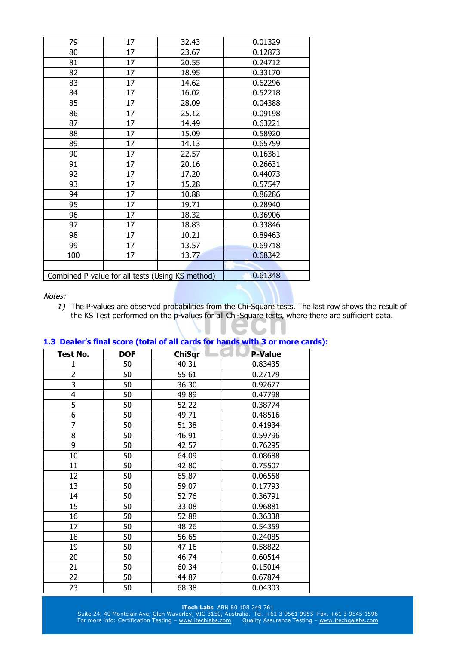| 79  | 17 | 32.43                                            | 0.01329 |
|-----|----|--------------------------------------------------|---------|
| 80  | 17 | 23.67                                            | 0.12873 |
| 81  | 17 | 20.55                                            | 0.24712 |
| 82  | 17 | 18.95                                            | 0.33170 |
| 83  | 17 | 14.62                                            | 0.62296 |
| 84  | 17 | 16.02                                            | 0.52218 |
| 85  | 17 | 28.09                                            | 0.04388 |
| 86  | 17 | 25.12                                            | 0.09198 |
| 87  | 17 | 14.49                                            | 0.63221 |
| 88  | 17 | 15.09                                            | 0.58920 |
| 89  | 17 | 14.13                                            | 0.65759 |
| 90  | 17 | 22.57                                            | 0.16381 |
| 91  | 17 | 20.16                                            | 0.26631 |
| 92  | 17 | 17.20                                            | 0.44073 |
| 93  | 17 | 15.28                                            | 0.57547 |
| 94  | 17 | 10.88                                            | 0.86286 |
| 95  | 17 | 19.71                                            | 0.28940 |
| 96  | 17 | 18.32                                            | 0.36906 |
| 97  | 17 | 18.83                                            | 0.33846 |
| 98  | 17 | 10.21                                            | 0.89463 |
| 99  | 17 | 13.57                                            | 0.69718 |
| 100 | 17 | 13.77                                            | 0.68342 |
|     |    |                                                  |         |
|     |    | Combined P-value for all tests (Using KS method) | 0.61348 |

*1)* The P-values are observed probabilities from the Chi-Square tests. The last row shows the result of the KS Test performed on the p-values for all Chi-Square tests, where there are sufficient data.

| Test No.                | <b>DOF</b> | <b>ChiSqr</b> | <b>P-Value</b> |
|-------------------------|------------|---------------|----------------|
| 1                       | 50         | 40.31         | 0.83435        |
| 2                       | 50         | 55.61         | 0.27179        |
| 3                       | 50         | 36.30         | 0.92677        |
| $\overline{\mathbf{4}}$ | 50         | 49.89         | 0.47798        |
| 5                       | 50         | 52.22         | 0.38774        |
| 6                       | 50         | 49.71         | 0.48516        |
| 7                       | 50         | 51.38         | 0.41934        |
| 8                       | 50         | 46.91         | 0.59796        |
| 9                       | 50         | 42.57         | 0.76295        |
| 10                      | 50         | 64.09         | 0.08688        |
| 11                      | 50         | 42.80         | 0.75507        |
| 12                      | 50         | 65.87         | 0.06558        |
| 13                      | 50         | 59.07         | 0.17793        |
| 14                      | 50         | 52.76         | 0.36791        |
| 15                      | 50         | 33.08         | 0.96881        |
| 16                      | 50         | 52.88         | 0.36338        |
| 17                      | 50         | 48.26         | 0.54359        |
| 18                      | 50         | 56.65         | 0.24085        |
| 19                      | 50         | 47.16         | 0.58822        |
| 20                      | 50         | 46.74         | 0.60514        |
| 21                      | 50         | 60.34         | 0.15014        |
| 22                      | 50         | 44.87         | 0.67874        |
| 23                      | 50         | 68.38         | 0.04303        |

## **1.3 Dealer's final score (total of all cards for hands with 3 or more cards):**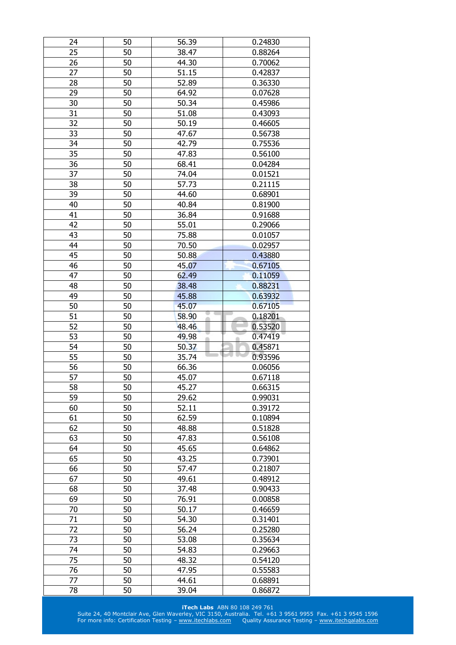| 24 | 50 | 56.39 | 0.24830 |
|----|----|-------|---------|
| 25 | 50 | 38.47 | 0.88264 |
| 26 | 50 | 44.30 | 0.70062 |
| 27 | 50 | 51.15 | 0.42837 |
| 28 | 50 | 52.89 | 0.36330 |
| 29 | 50 | 64.92 | 0.07628 |
| 30 | 50 | 50.34 | 0.45986 |
| 31 | 50 | 51.08 | 0.43093 |
| 32 | 50 | 50.19 | 0.46605 |
| 33 | 50 | 47.67 | 0.56738 |
| 34 | 50 | 42.79 | 0.75536 |
| 35 | 50 | 47.83 | 0.56100 |
| 36 | 50 | 68.41 | 0.04284 |
| 37 | 50 | 74.04 | 0.01521 |
| 38 | 50 | 57.73 | 0.21115 |
| 39 | 50 | 44.60 | 0.68901 |
| 40 | 50 | 40.84 | 0.81900 |
| 41 | 50 | 36.84 | 0.91688 |
| 42 | 50 | 55.01 | 0.29066 |
| 43 | 50 |       |         |
|    |    | 75.88 | 0.01057 |
| 44 | 50 | 70.50 | 0.02957 |
| 45 | 50 | 50.88 | 0.43880 |
| 46 | 50 | 45.07 | 0.67105 |
| 47 | 50 | 62.49 | 0.11059 |
| 48 | 50 | 38.48 | 0.88231 |
| 49 | 50 | 45.88 | 0.63932 |
| 50 | 50 | 45.07 | 0.67105 |
| 51 | 50 | 58.90 | 0.18201 |
|    |    |       |         |
| 52 | 50 | 48.46 | 0.53520 |
| 53 | 50 | 49.98 | 0.47419 |
| 54 | 50 | 50.37 | 0.45871 |
| 55 | 50 | 35.74 | 0.93596 |
| 56 | 50 | 66.36 | 0.06056 |
| 57 | 50 | 45.07 | 0.67118 |
| 58 | 50 | 45.27 | 0.66315 |
| 59 | 50 | 29.62 | 0.99031 |
| 60 | 50 | 52.11 | 0.39172 |
| 61 | 50 | 62.59 | 0.10894 |
| 62 | 50 | 48.88 | 0.51828 |
| 63 | 50 | 47.83 | 0.56108 |
| 64 | 50 | 45.65 | 0.64862 |
| 65 | 50 | 43.25 | 0.73901 |
| 66 | 50 | 57.47 | 0.21807 |
| 67 | 50 | 49.61 | 0.48912 |
| 68 | 50 | 37.48 | 0.90433 |
| 69 | 50 | 76.91 | 0.00858 |
| 70 | 50 | 50.17 | 0.46659 |
| 71 | 50 | 54.30 | 0.31401 |
| 72 | 50 | 56.24 | 0.25280 |
| 73 | 50 | 53.08 | 0.35634 |
| 74 | 50 | 54.83 | 0.29663 |
| 75 | 50 | 48.32 | 0.54120 |
| 76 | 50 | 47.95 | 0.55583 |
| 77 | 50 | 44.61 | 0.68891 |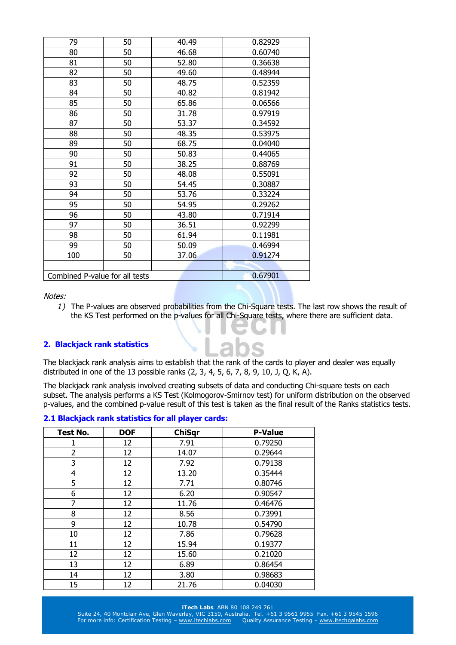| 79                             | 50 | 40.49 | 0.82929 |
|--------------------------------|----|-------|---------|
| 80                             | 50 | 46.68 | 0.60740 |
| 81                             | 50 | 52.80 | 0.36638 |
| 82                             | 50 | 49.60 | 0.48944 |
| 83                             | 50 | 48.75 | 0.52359 |
| 84                             | 50 | 40.82 | 0.81942 |
| 85                             | 50 | 65.86 | 0.06566 |
| 86                             | 50 | 31.78 | 0.97919 |
| 87                             | 50 | 53.37 | 0.34592 |
| 88                             | 50 | 48.35 | 0.53975 |
| 89                             | 50 | 68.75 | 0.04040 |
| 90                             | 50 | 50.83 | 0.44065 |
| 91                             | 50 | 38.25 | 0.88769 |
| 92                             | 50 | 48.08 | 0.55091 |
| 93                             | 50 | 54.45 | 0.30887 |
| 94                             | 50 | 53.76 | 0.33224 |
| 95                             | 50 | 54.95 | 0.29262 |
| 96                             | 50 | 43.80 | 0.71914 |
| 97                             | 50 | 36.51 | 0.92299 |
| 98                             | 50 | 61.94 | 0.11981 |
| 99                             | 50 | 50.09 | 0.46994 |
| 100                            | 50 | 37.06 | 0.91274 |
|                                |    |       |         |
| Combined P-value for all tests |    |       | 0.67901 |

*1)* The P-values are observed probabilities from the Chi-Square tests. The last row shows the result of the KS Test performed on the p-values for all Chi-Square tests, where there are sufficient data.

#### **2. Blackjack rank statistics**

The blackjack rank analysis aims to establish that the rank of the cards to player and dealer was equally distributed in one of the 13 possible ranks (2, 3, 4, 5, 6, 7, 8, 9, 10, J, Q, K, A).

The blackjack rank analysis involved creating subsets of data and conducting Chi-square tests on each subset. The analysis performs a KS Test (Kolmogorov-Smirnov test) for uniform distribution on the observed p-values, and the combined p-value result of this test is taken as the final result of the Ranks statistics tests.

|  |  |  |  | 2.1 Blackjack rank statistics for all player cards: |  |  |  |  |
|--|--|--|--|-----------------------------------------------------|--|--|--|--|
|--|--|--|--|-----------------------------------------------------|--|--|--|--|

| Test No.       | <b>DOF</b> | <b>ChiSqr</b> | <b>P-Value</b> |
|----------------|------------|---------------|----------------|
| 1              | 12         | 7.91          | 0.79250        |
| $\overline{2}$ | 12         | 14.07         | 0.29644        |
| 3              | 12         | 7.92          | 0.79138        |
| 4              | 12         | 13.20         | 0.35444        |
| 5              | 12         | 7.71          | 0.80746        |
| 6              | 12         | 6.20          | 0.90547        |
| 7              | 12         | 11.76         | 0.46476        |
| 8              | 12         | 8.56          | 0.73991        |
| 9              | 12         | 10.78         | 0.54790        |
| 10             | 12         | 7.86          | 0.79628        |
| 11             | 12         | 15.94         | 0.19377        |
| 12             | 12         | 15.60         | 0.21020        |
| 13             | 12         | 6.89          | 0.86454        |
| 14             | 12         | 3.80          | 0.98683        |
| 15             | 12         | 21.76         | 0.04030        |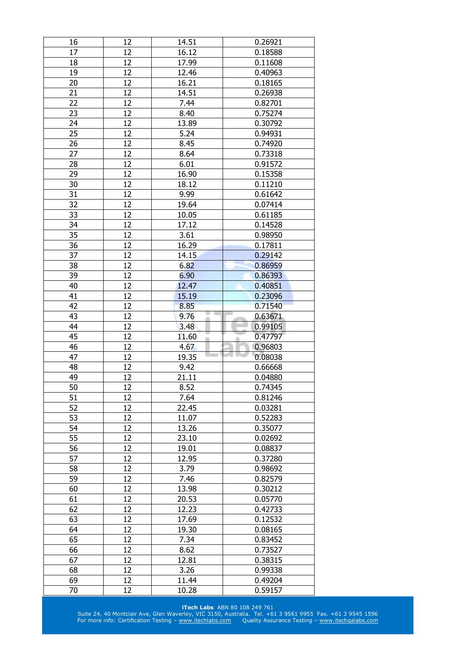| 16       | 12       | 14.51          | 0.26921            |
|----------|----------|----------------|--------------------|
| 17       | 12       | 16.12          | 0.18588            |
| 18       | 12       | 17.99          | 0.11608            |
| 19       | 12       | 12.46          | 0.40963            |
| 20       | 12       | 16.21          | 0.18165            |
| 21       | 12       | 14.51          | 0.26938            |
| 22       | 12       | 7.44           | 0.82701            |
| 23       | 12       | 8.40           | 0.75274            |
| 24       | 12       | 13.89          | 0.30792            |
| 25       | 12       | 5.24           | 0.94931            |
| 26       | 12       | 8.45           | 0.74920            |
| 27       | 12       | 8.64           | 0.73318            |
| 28       | 12       | 6.01           | 0.91572            |
| 29       | 12       | 16.90          | 0.15358            |
| 30       | 12       | 18.12          | 0.11210            |
| 31       | 12       | 9.99           | 0.61642            |
| 32       | 12       | 19.64          | 0.07414            |
| 33       | 12       | 10.05          | 0.61185            |
|          | 12       | 17.12          |                    |
| 34       |          |                | 0.14528            |
| 35       | 12       | 3.61           | 0.98950            |
| 36       | 12       | 16.29          | 0.17811            |
| 37       | 12       | 14.15          | 0.29142            |
| 38       | 12       | 6.82           | 0.86959            |
| 39       | 12       | 6.90           | 0.86393            |
| 40       | 12       | 12.47          | 0.40851            |
| 41       | 12       | 15.19          | 0.23096            |
| 42       | 12       | 8.85           | 0.71540            |
| 43       | 12       | 9.76           | 0.63671            |
|          |          |                |                    |
| 44       | 12       | 3.48           | 0.99105            |
| 45       | 12       | 11.60          | 0.47797            |
| 46       | 12       | 4.67           | 0.96803            |
| 47       | 12       | 19.35          | 0.08038            |
| 48       | 12       | 9.42           | 0.66668            |
| 49       | 12       | 21.11          | 0.04880            |
| 50       | 12       | 8.52           | 0.74345            |
| 51       | 12       | 7.64           | 0.81246            |
| 52       | 12       | 22.45          | 0.03281            |
| 53       | 12       | 11.07          | 0.52283            |
| 54       | 12       | 13.26          | 0.35077            |
| 55       | 12       | 23.10          | 0.02692            |
| 56       | 12       | 19.01          | 0.08837            |
| 57       | 12       | 12.95          | 0.37280            |
| 58       | 12       | 3.79           | 0.98692            |
| 59       | 12       | 7.46           | 0.82579            |
| 60       | 12       | 13.98          | 0.30212            |
| 61       | 12       | 20.53          | 0.05770            |
| 62       | 12       |                |                    |
|          |          | 12.23          | 0.42733            |
| 63<br>64 | 12       | 17.69          | 0.12532            |
|          | 12       | 19.30          | 0.08165            |
| 65       | 12       | 7.34           | 0.83452            |
| 66       | 12       | 8.62           | 0.73527            |
| 67       | 12       | 12.81          | 0.38315            |
| 68       | 12       | 3.26           | 0.99338            |
| 69<br>70 | 12<br>12 | 11.44<br>10.28 | 0.49204<br>0.59157 |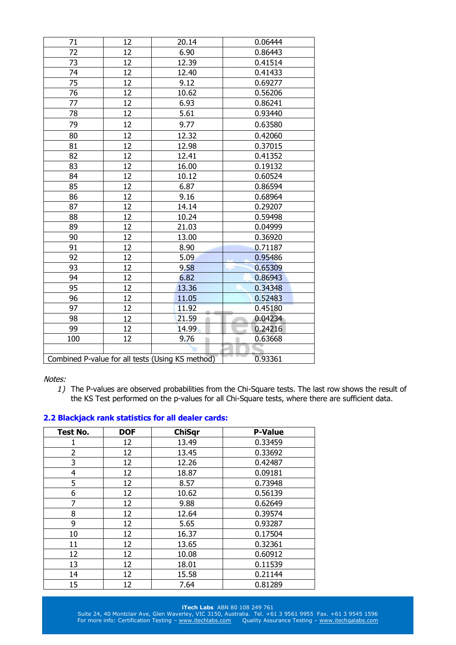| 71  | 12 | 20.14                                            | 0.06444 |
|-----|----|--------------------------------------------------|---------|
| 72  | 12 | 6.90                                             | 0.86443 |
| 73  | 12 | 12.39                                            | 0.41514 |
| 74  | 12 | 12.40                                            | 0.41433 |
| 75  | 12 | 9.12                                             | 0.69277 |
| 76  | 12 | 10.62                                            | 0.56206 |
| 77  | 12 | 6.93                                             | 0.86241 |
| 78  | 12 | 5.61                                             | 0.93440 |
| 79  | 12 | 9.77                                             | 0.63580 |
| 80  | 12 | 12.32                                            | 0.42060 |
| 81  | 12 | 12.98                                            | 0.37015 |
| 82  | 12 | 12.41                                            | 0.41352 |
| 83  | 12 | 16.00                                            | 0.19132 |
| 84  | 12 | 10.12                                            | 0.60524 |
| 85  | 12 | 6.87                                             | 0.86594 |
| 86  | 12 | 9.16                                             | 0.68964 |
| 87  | 12 | 14.14                                            | 0.29207 |
| 88  | 12 | 10.24                                            | 0.59498 |
| 89  | 12 | 21.03                                            | 0.04999 |
| 90  | 12 | 13.00                                            | 0.36920 |
| 91  | 12 | 8.90                                             | 0.71187 |
| 92  | 12 | 5.09                                             | 0.95486 |
| 93  | 12 | 9.58                                             | 0.65309 |
| 94  | 12 | 6.82                                             | 0.86943 |
| 95  | 12 | 13.36                                            | 0.34348 |
| 96  | 12 | 11.05                                            | 0.52483 |
| 97  | 12 | 11.92                                            | 0.45180 |
| 98  | 12 | 21.59                                            | 0.04234 |
| 99  | 12 | 14.99                                            | 0.24216 |
| 100 | 12 | 9.76                                             | 0.63668 |
|     |    |                                                  |         |
|     |    | Combined P-value for all tests (Using KS method) | 0.93361 |

*1)* The P-values are observed probabilities from the Chi-Square tests. The last row shows the result of the KS Test performed on the p-values for all Chi-Square tests, where there are sufficient data.

|  |  |  |  | 2.2 Blackjack rank statistics for all dealer cards: |  |  |  |
|--|--|--|--|-----------------------------------------------------|--|--|--|
|--|--|--|--|-----------------------------------------------------|--|--|--|

| Test No.       | <b>DOF</b> | <b>ChiSqr</b> | <b>P-Value</b> |
|----------------|------------|---------------|----------------|
| 1              | 12         | 13.49         | 0.33459        |
| 2              | 12         | 13.45         | 0.33692        |
| 3              | 12         | 12.26         | 0.42487        |
| $\overline{4}$ | 12         | 18.87         | 0.09181        |
| 5              | 12         | 8.57          | 0.73948        |
| 6              | 12         | 10.62         | 0.56139        |
| 7              | 12         | 9.88          | 0.62649        |
| 8              | 12         | 12.64         | 0.39574        |
| 9              | 12         | 5.65          | 0.93287        |
| 10             | 12         | 16.37         | 0.17504        |
| 11             | 12         | 13.65         | 0.32361        |
| 12             | 12         | 10.08         | 0.60912        |
| 13             | 12         | 18.01         | 0.11539        |
| 14             | 12         | 15.58         | 0.21144        |
| 15             | 12         | 7.64          | 0.81289        |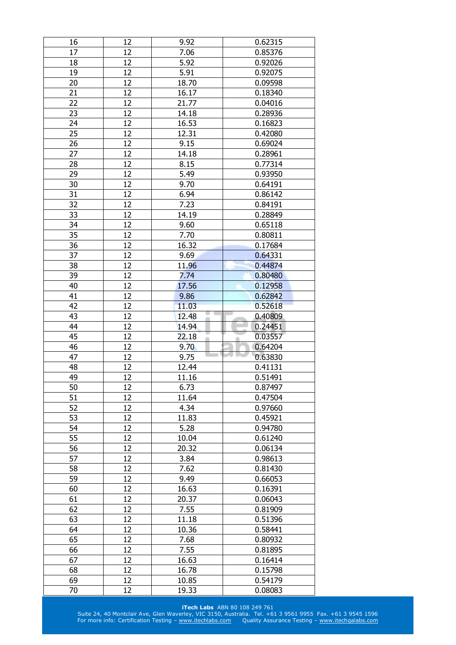| 16       | 12       | 9.92           | 0.62315            |
|----------|----------|----------------|--------------------|
| 17       | 12       | 7.06           | 0.85376            |
| 18       | 12       | 5.92           | 0.92026            |
| 19       | 12       | 5.91           | 0.92075            |
| 20       | 12       | 18.70          | 0.09598            |
| 21       | 12       | 16.17          | 0.18340            |
| 22       | 12       | 21.77          | 0.04016            |
| 23       | 12       | 14.18          | 0.28936            |
| 24       | 12       | 16.53          | 0.16823            |
| 25       | 12       | 12.31          | 0.42080            |
| 26       | 12       | 9.15           | 0.69024            |
| 27       | 12       | 14.18          | 0.28961            |
| 28       | 12       | 8.15           | 0.77314            |
| 29       | 12       | 5.49           | 0.93950            |
| 30       | 12       | 9.70           | 0.64191            |
| 31       | 12       | 6.94           | 0.86142            |
| 32       | 12       | 7.23           | 0.84191            |
|          | 12       |                | 0.28849            |
| 33       |          | 14.19          |                    |
| 34       | 12       | 9.60           | 0.65118            |
| 35       | 12       | 7.70           | 0.80811            |
| 36       | 12       | 16.32          | 0.17684            |
| 37       | 12       | 9.69           | 0.64331            |
| 38       | 12       | 11.96          | 0.44874            |
| 39       | 12       | 7.74           | 0.80480            |
| 40       | 12       | 17.56          | 0.12958            |
| 41       | 12       | 9.86           | 0.62842            |
| 42       | 12       | 11.03          | 0.52618            |
| 43       | 12       | 12.48          | 0.40809            |
|          |          |                |                    |
| 44       | 12       | 14.94          | 0.24451            |
| 45       | 12       | 22.18          | 0.03557            |
| 46       | 12       | 9.70           | 0.64204            |
| 47       | 12       | 9.75           | 0.63830            |
| 48       | 12       | 12.44          | 0.41131            |
| 49       | 12       | 11.16          | 0.51491            |
| 50       | 12       | 6.73           | 0.87497            |
| 51       | 12       | 11.64          | 0.47504            |
| 52       | 12       | 4.34           | 0.97660            |
| 53       | 12       | 11.83          | 0.45921            |
| 54       | 12       | 5.28           | 0.94780            |
| 55       | 12       | 10.04          | 0.61240            |
| 56       | 12       | 20.32          | 0.06134            |
| 57       | 12       | 3.84           | 0.98613            |
| 58       | 12       | 7.62           | 0.81430            |
| 59       | 12       | 9.49           | 0.66053            |
| 60       | 12       | 16.63          | 0.16391            |
| 61       | 12       |                |                    |
|          | 12       | 20.37          | 0.06043            |
| 62       |          | 7.55           | 0.81909            |
| 63       | 12       | 11.18          | 0.51396            |
| 64       | 12       | 10.36          | 0.58441            |
| 65       | 12       | 7.68           | 0.80932            |
| 66       | 12       | 7.55           | 0.81895            |
| 67       | 12       | 16.63          | 0.16414            |
| 68       | 12       | 16.78          | 0.15798            |
| 69<br>70 | 12<br>12 | 10.85<br>19.33 | 0.54179<br>0.08083 |

**iTech Labs** ABN 80 108 249 761 Suite 24, 40 Montclair Ave, Glen Waverley, VIC 3150, Australia. Tel. +61 3 9561 9955 Fax. +61 3 9545 1596

For more info: Certification Testing – [www.itechlabs.com](http://www.itechlabs.com/) Quality Assurance Testing – www.itechgalabs.com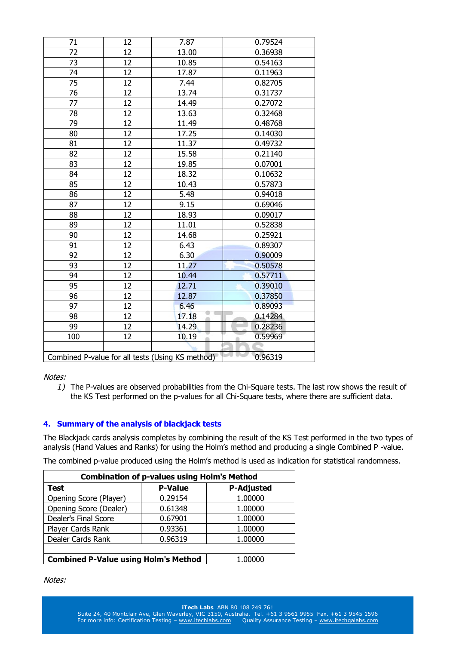| 71  | 12 | 7.87                                             | 0.79524 |
|-----|----|--------------------------------------------------|---------|
| 72  | 12 | 13.00                                            | 0.36938 |
| 73  | 12 | 10.85                                            | 0.54163 |
| 74  | 12 | 17.87                                            | 0.11963 |
| 75  | 12 | 7.44                                             | 0.82705 |
| 76  | 12 | 13.74                                            | 0.31737 |
| 77  | 12 | 14.49                                            | 0.27072 |
| 78  | 12 | 13.63                                            | 0.32468 |
| 79  | 12 | 11.49                                            | 0.48768 |
| 80  | 12 | 17.25                                            | 0.14030 |
| 81  | 12 | 11.37                                            | 0.49732 |
| 82  | 12 | 15.58                                            | 0.21140 |
| 83  | 12 | 19.85                                            | 0.07001 |
| 84  | 12 | 18.32                                            | 0.10632 |
| 85  | 12 | 10.43                                            | 0.57873 |
| 86  | 12 | 5.48                                             | 0.94018 |
| 87  | 12 | 9.15                                             | 0.69046 |
| 88  | 12 | 18.93                                            | 0.09017 |
| 89  | 12 | 11.01                                            | 0.52838 |
| 90  | 12 | 14.68                                            | 0.25921 |
| 91  | 12 | 6.43                                             | 0.89307 |
| 92  | 12 | 6.30                                             | 0.90009 |
| 93  | 12 | 11.27                                            | 0.50578 |
| 94  | 12 | 10.44                                            | 0.57711 |
| 95  | 12 | 12.71                                            | 0.39010 |
| 96  | 12 | 12.87                                            | 0.37850 |
| 97  | 12 | 6.46                                             | 0.89093 |
| 98  | 12 | 17.18<br>ä                                       | 0.14284 |
| 99  | 12 | 14.29                                            | 0.28236 |
| 100 | 12 | 10.19                                            | 0.59969 |
|     |    |                                                  |         |
|     |    | Combined P-value for all tests (Using KS method) | 0.96319 |

*1)* The P-values are observed probabilities from the Chi-Square tests. The last row shows the result of the KS Test performed on the p-values for all Chi-Square tests, where there are sufficient data.

## **4. Summary of the analysis of blackjack tests**

The Blackjack cards analysis completes by combining the result of the KS Test performed in the two types of analysis (Hand Values and Ranks) for using the Holm's method and producing a single Combined P -value.

The combined p-value produced using the Holm's method is used as indication for statistical randomness.

| <b>Combination of p-values using Holm's Method</b> |                |                   |  |  |
|----------------------------------------------------|----------------|-------------------|--|--|
| Test                                               | <b>P-Value</b> | <b>P-Adjusted</b> |  |  |
| Opening Score (Player)                             | 0.29154        | 1.00000           |  |  |
| Opening Score (Dealer)                             | 0.61348        | 1.00000           |  |  |
| Dealer's Final Score                               | 0.67901        | 1.00000           |  |  |
| Player Cards Rank                                  | 0.93361        | 1.00000           |  |  |
| Dealer Cards Rank                                  | 0.96319        | 1.00000           |  |  |
|                                                    |                |                   |  |  |
| <b>Combined P-Value using Holm's Method</b>        | 1.00000        |                   |  |  |

Notes: